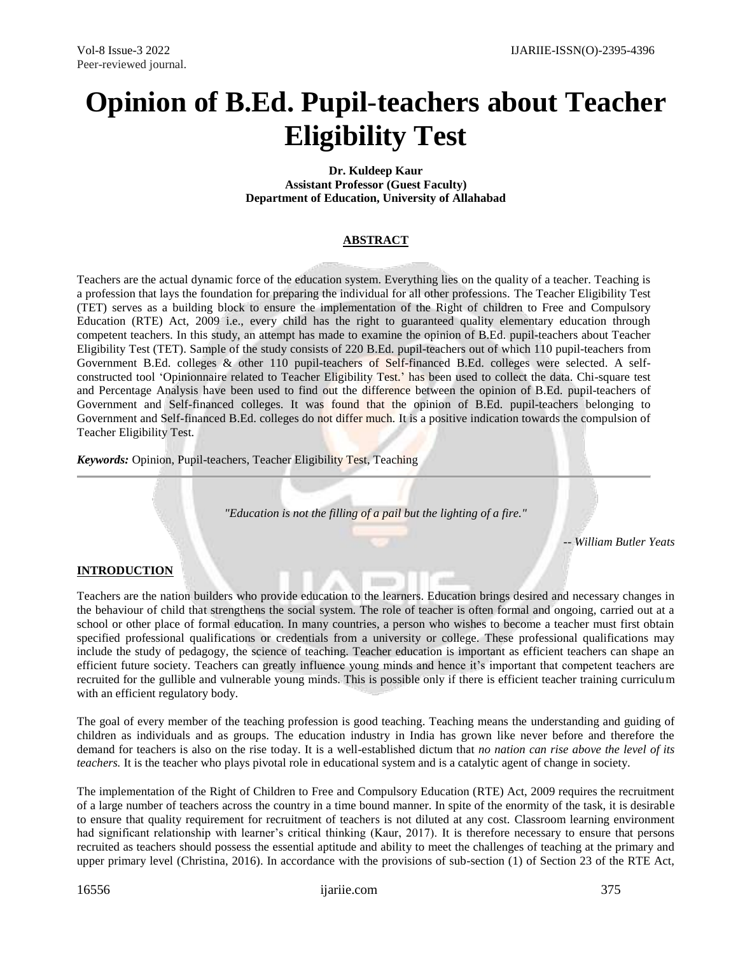# **Opinion of B.Ed. Pupil**-**teachers about Teacher Eligibility Test**

**Dr. Kuldeep Kaur Assistant Professor (Guest Faculty) Department of Education, University of Allahabad**

## **ABSTRACT**

Teachers are the actual dynamic force of the education system. Everything lies on the quality of a teacher. Teaching is a profession that lays the foundation for preparing the individual for all other professions. The Teacher Eligibility Test (TET) serves as a building block to ensure the implementation of the Right of children to Free and Compulsory Education (RTE) Act, 2009 i.e., every child has the right to guaranteed quality elementary education through competent teachers. In this study, an attempt has made to examine the opinion of B.Ed. pupil-teachers about Teacher Eligibility Test (TET). Sample of the study consists of 220 B.Ed. pupil-teachers out of which 110 pupil-teachers from Government B.Ed. colleges & other 110 pupil-teachers of Self-financed B.Ed. colleges were selected. A selfconstructed tool 'Opinionnaire related to Teacher Eligibility Test.' has been used to collect the data. Chi-square test and Percentage Analysis have been used to find out the difference between the opinion of B.Ed. pupil-teachers of Government and Self-financed colleges. It was found that the opinion of B.Ed. pupil-teachers belonging to Government and Self-financed B.Ed. colleges do not differ much. It is a positive indication towards the compulsion of Teacher Eligibility Test.

*Keywords:* Opinion, Pupil-teachers, Teacher Eligibility Test, Teaching

*"Education is not the filling of a pail but the lighting of a fire."*

*-- William Butler Yeats*

### **INTRODUCTION**

Teachers are the nation builders who provide education to the learners. Education brings desired and necessary changes in the behaviour of child that strengthens the social system. The role of teacher is often formal and ongoing, carried out at a school or other place of formal education. In many countries, a person who wishes to become a teacher must first obtain specified professional qualifications or credentials from a university or college. These professional qualifications may include the study of pedagogy, the science of teaching. Teacher education is important as efficient teachers can shape an efficient future society. Teachers can greatly influence young minds and hence it's important that competent teachers are recruited for the gullible and vulnerable young minds. This is possible only if there is efficient teacher training curriculum with an efficient regulatory body.

The goal of every member of the teaching profession is good teaching. Teaching means the understanding and guiding of children as individuals and as groups. The education industry in India has grown like never before and therefore the demand for teachers is also on the rise today. It is a well-established dictum that *no nation can rise above the level of its teachers.* It is the teacher who plays pivotal role in educational system and is a catalytic agent of change in society.

The implementation of the Right of Children to Free and Compulsory Education (RTE) Act, 2009 requires the recruitment of a large number of teachers across the country in a time bound manner. In spite of the enormity of the task, it is desirable to ensure that quality requirement for recruitment of teachers is not diluted at any cost. Classroom learning environment had significant relationship with learner's critical thinking (Kaur, 2017). It is therefore necessary to ensure that persons recruited as teachers should possess the essential aptitude and ability to meet the challenges of teaching at the primary and upper primary level (Christina, 2016). In accordance with the provisions of sub-section (1) of Section 23 of the RTE Act,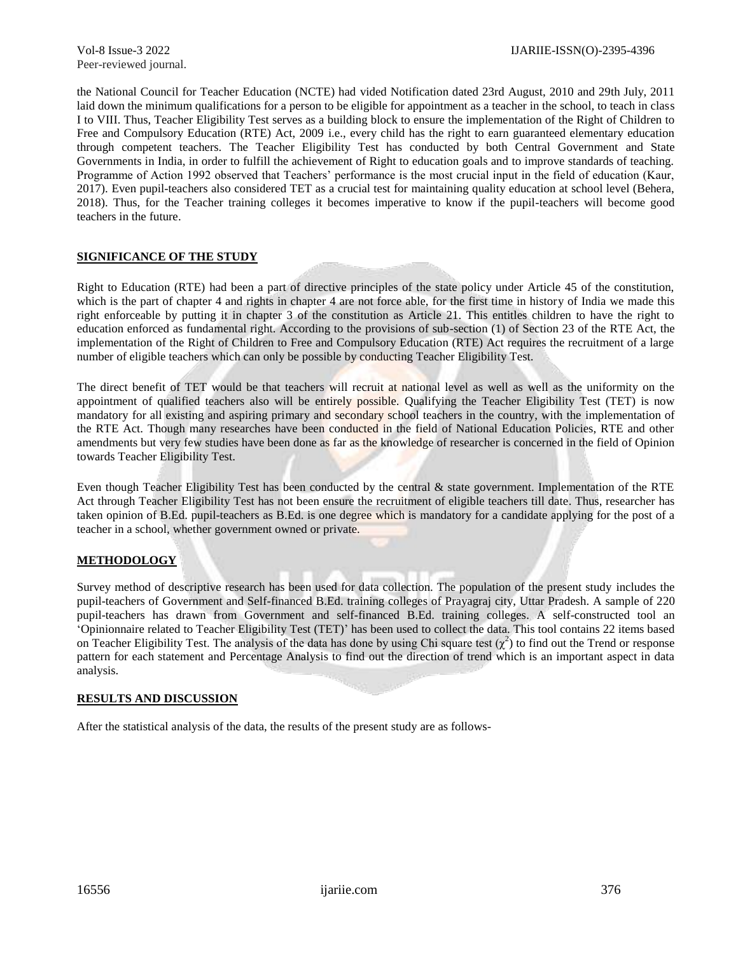the National Council for Teacher Education (NCTE) had vided Notification dated 23rd August, 2010 and 29th July, 2011 laid down the minimum qualifications for a person to be eligible for appointment as a teacher in the school, to teach in class I to VIII. Thus, Teacher Eligibility Test serves as a building block to ensure the implementation of the Right of Children to Free and Compulsory Education (RTE) Act, 2009 i.e., every child has the right to earn guaranteed elementary education through competent teachers. The Teacher Eligibility Test has conducted by both Central Government and State Governments in India, in order to fulfill the achievement of Right to education goals and to improve standards of teaching. Programme of Action 1992 observed that Teachers' performance is the most crucial input in the field of education (Kaur, 2017). Even pupil-teachers also considered TET as a crucial test for maintaining quality education at school level (Behera, 2018). Thus, for the Teacher training colleges it becomes imperative to know if the pupil-teachers will become good teachers in the future.

### **SIGNIFICANCE OF THE STUDY**

Right to Education (RTE) had been a part of directive principles of the state policy under Article 45 of the constitution, which is the part of chapter 4 and rights in chapter 4 are not force able, for the first time in history of India we made this right enforceable by putting it in chapter 3 of the constitution as Article 21. This entitles children to have the right to education enforced as fundamental right. According to the provisions of sub-section (1) of Section 23 of the RTE Act, the implementation of the Right of Children to Free and Compulsory Education (RTE) Act requires the recruitment of a large number of eligible teachers which can only be possible by conducting Teacher Eligibility Test.

The direct benefit of TET would be that teachers will recruit at national level as well as well as the uniformity on the appointment of qualified teachers also will be entirely possible. Qualifying the Teacher Eligibility Test (TET) is now mandatory for all existing and aspiring primary and secondary school teachers in the country, with the implementation of the RTE Act. Though many researches have been conducted in the field of National Education Policies, RTE and other amendments but very few studies have been done as far as the knowledge of researcher is concerned in the field of Opinion towards Teacher Eligibility Test.

Even though Teacher Eligibility Test has been conducted by the central & state government. Implementation of the RTE Act through Teacher Eligibility Test has not been ensure the recruitment of eligible teachers till date. Thus, researcher has taken opinion of B.Ed. pupil-teachers as B.Ed. is one degree which is mandatory for a candidate applying for the post of a teacher in a school, whether government owned or private.

### **METHODOLOGY**

Survey method of descriptive research has been used for data collection. The population of the present study includes the pupil-teachers of Government and Self-financed B.Ed. training colleges of Prayagraj city, Uttar Pradesh. A sample of 220 pupil-teachers has drawn from Government and self-financed B.Ed. training colleges. A self-constructed tool an 'Opinionnaire related to Teacher Eligibility Test (TET)' has been used to collect the data. This tool contains 22 items based on Teacher Eligibility Test. The analysis of the data has done by using Chi square test  $(\chi^2)$  to find out the Trend or response pattern for each statement and Percentage Analysis to find out the direction of trend which is an important aspect in data analysis.

### **RESULTS AND DISCUSSION**

After the statistical analysis of the data, the results of the present study are as follows-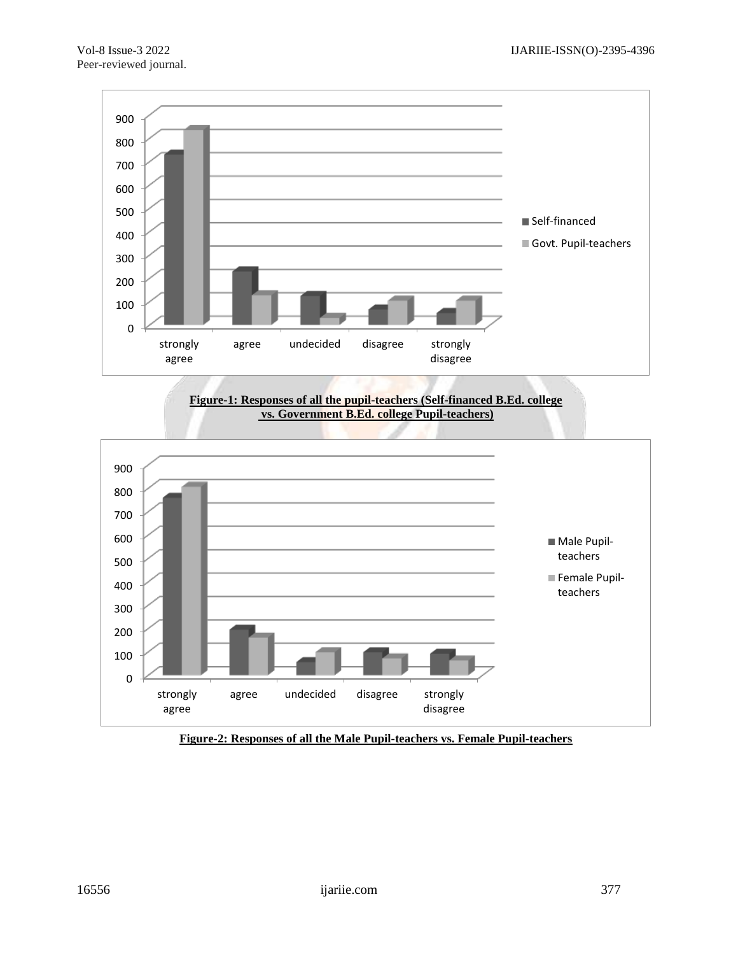

**Figure-1: Responses of all the pupil-teachers (Self-financed B.Ed. college vs. Government B.Ed. college Pupil-teachers)**



**Figure-2: Responses of all the Male Pupil-teachers vs. Female Pupil-teachers**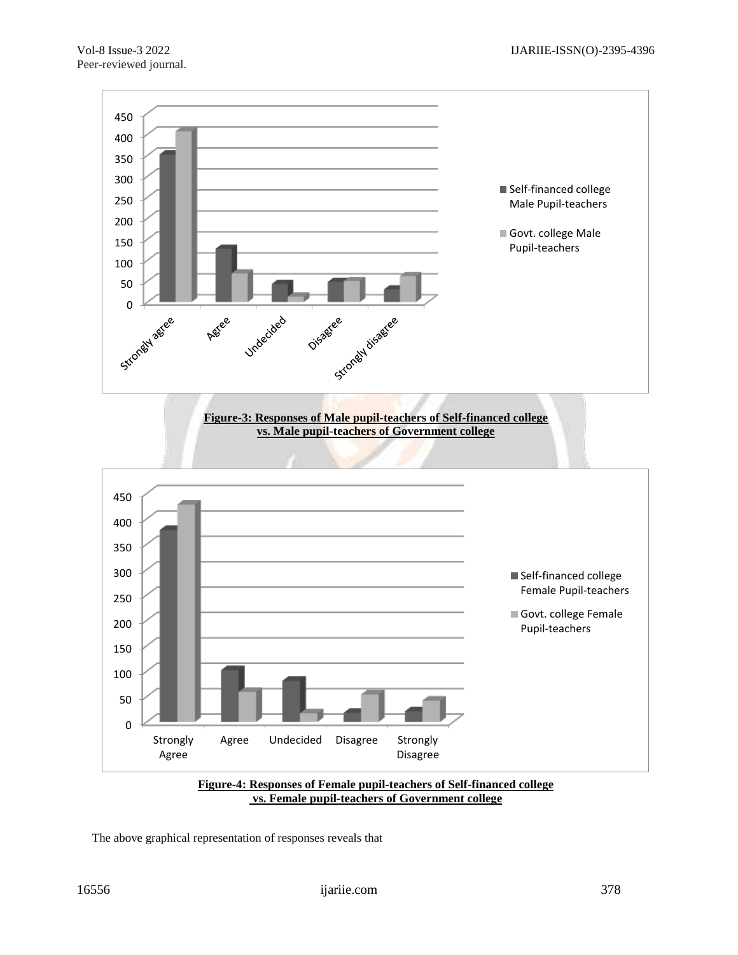



The above graphical representation of responses reveals that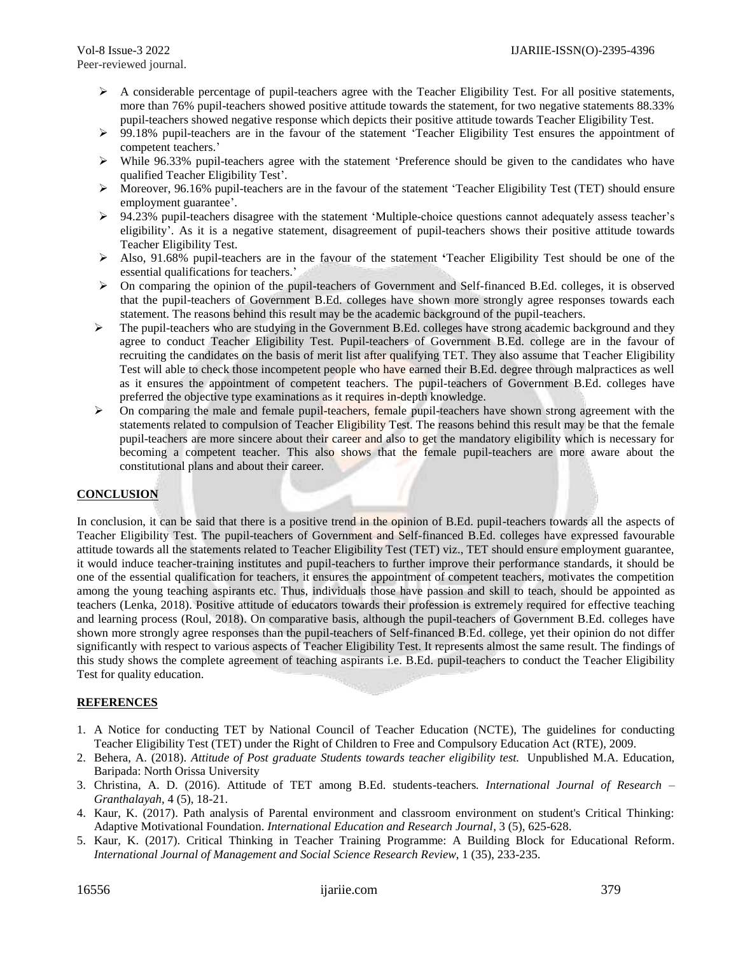- $\triangleright$  A considerable percentage of pupil-teachers agree with the Teacher Eligibility Test. For all positive statements, more than 76% pupil-teachers showed positive attitude towards the statement, for two negative statements 88.33% pupil-teachers showed negative response which depicts their positive attitude towards Teacher Eligibility Test.
- 99.18% pupil-teachers are in the favour of the statement 'Teacher Eligibility Test ensures the appointment of competent teachers.'
- $\triangleright$  While 96.33% pupil-teachers agree with the statement 'Preference should be given to the candidates who have qualified Teacher Eligibility Test'.
- $\triangleright$  Moreover, 96.16% pupil-teachers are in the favour of the statement 'Teacher Eligibility Test (TET) should ensure employment guarantee'.
- $\triangleright$  94.23% pupil-teachers disagree with the statement 'Multiple-choice questions cannot adequately assess teacher's eligibility'. As it is a negative statement, disagreement of pupil-teachers shows their positive attitude towards Teacher Eligibility Test.
- Also, 91.68% pupil-teachers are in the favour of the statement **'**Teacher Eligibility Test should be one of the essential qualifications for teachers.'
- $\triangleright$  On comparing the opinion of the pupil-teachers of Government and Self-financed B.Ed. colleges, it is observed that the pupil-teachers of Government B.Ed. colleges have shown more strongly agree responses towards each statement. The reasons behind this result may be the academic background of the pupil-teachers.
- $\triangleright$  The pupil-teachers who are studying in the Government B.Ed. colleges have strong academic background and they agree to conduct Teacher Eligibility Test. Pupil-teachers of Government B.Ed. college are in the favour of recruiting the candidates on the basis of merit list after qualifying TET. They also assume that Teacher Eligibility Test will able to check those incompetent people who have earned their B.Ed. degree through malpractices as well as it ensures the appointment of competent teachers. The pupil-teachers of Government B.Ed. colleges have preferred the objective type examinations as it requires in-depth knowledge.
- $\triangleright$  On comparing the male and female pupil-teachers, female pupil-teachers have shown strong agreement with the statements related to compulsion of Teacher Eligibility Test. The reasons behind this result may be that the female pupil-teachers are more sincere about their career and also to get the mandatory eligibility which is necessary for becoming a competent teacher. This also shows that the female pupil-teachers are more aware about the constitutional plans and about their career.

### **CONCLUSION**

In conclusion, it can be said that there is a positive trend in the opinion of B.Ed. pupil-teachers towards all the aspects of Teacher Eligibility Test. The pupil-teachers of Government and Self-financed B.Ed. colleges have expressed favourable attitude towards all the statements related to Teacher Eligibility Test (TET) viz., TET should ensure employment guarantee, it would induce teacher-training institutes and pupil-teachers to further improve their performance standards, it should be one of the essential qualification for teachers, it ensures the appointment of competent teachers, motivates the competition among the young teaching aspirants etc. Thus, individuals those have passion and skill to teach, should be appointed as teachers (Lenka, 2018). Positive attitude of educators towards their profession is extremely required for effective teaching and learning process (Roul, 2018). On comparative basis, although the pupil-teachers of Government B.Ed. colleges have shown more strongly agree responses than the pupil-teachers of Self-financed B.Ed. college, yet their opinion do not differ significantly with respect to various aspects of Teacher Eligibility Test. It represents almost the same result. The findings of this study shows the complete agreement of teaching aspirants i.e. B.Ed. pupil-teachers to conduct the Teacher Eligibility Test for quality education.

#### **REFERENCES**

- 1. A Notice for conducting TET by National Council of Teacher Education (NCTE), The guidelines for conducting Teacher Eligibility Test (TET) under the Right of Children to Free and Compulsory Education Act (RTE), 2009.
- 2. Behera, A. (2018). *Attitude of Post graduate Students towards teacher eligibility test.* Unpublished M.A. Education, Baripada: North Orissa University
- 3. Christina, A. D. (2016). Attitude of TET among B.Ed. students-teachers*. International Journal of Research – Granthalayah*, 4 (5), 18-21.
- 4. Kaur, K. (2017). Path analysis of Parental environment and classroom environment on student's Critical Thinking: Adaptive Motivational Foundation. *International Education and Research Journal*, 3 (5), 625-628.
- 5. Kaur, K. (2017). Critical Thinking in Teacher Training Programme: A Building Block for Educational Reform. *International Journal of Management and Social Science Research Review*, 1 (35), 233-235.